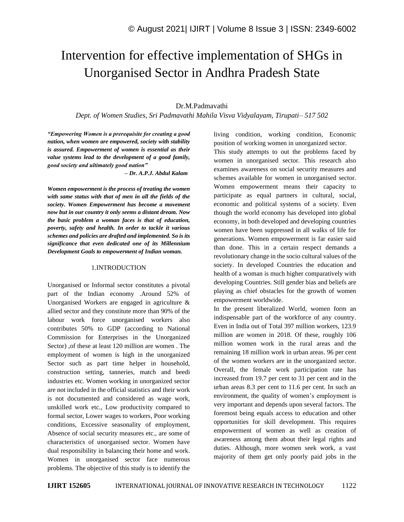# Intervention for effective implementation of SHGs in Unorganised Sector in Andhra Pradesh State

## Dr.M.Padmavathi

*Dept. of Women Studies, Sri Padmavathi Mahila Visva Vidyalayam, Tirupati– 517 502*

*"Empowering Women is a prerequisite for creating a good nation, when women are empowered, society with stability is assured. Empowerment of women is essential as their value systems lead to the development of a good family, good society and ultimately good nation"*

 *– Dr. A.P.J. Abdul Kalam* 

*Women empowerment is the process of treating the women with same status with that of men in all the fields of the society. Women Empowerment has become a movement now but in our country it only seems a distant dream. Now the basic problem a woman faces is that of education, poverty, safety and health. In order to tackle it various schemes and policies are drafted and implemented. So is its significance that even dedicated one of its Millennium Development Goals to empowerment of Indian woman.*

#### 1.INTRODUCTION

Unorganised or Informal sector constitutes a pivotal part of the Indian economy .Around 52% of Unorganised Workers are engaged in agriculture & allied sector and they constitute more than 90% of the labour work force unorganised workers also contributes 50% to GDP (according to National Commission for Enterprises in the Unorganized Sector) ,of these at least 120 million are women . The employment of women is high in the unorganized Sector such as part time helper in household, construction setting, tanneries, match and beedi industries etc. Women working in unorganized sector are not included in the official statistics and their work is not documented and considered as wage work, unskilled work etc., Low productivity compared to formal sector, Lower wages to workers, Poor working conditions, Excessive seasonality of employment, Absence of social security measures etc., are some of characteristics of unorganised sector. Women have dual responsibility in balancing their home and work. Women in unorganised sector face numerous problems. The objective of this study is to identify the living condition, working condition, Economic position of working women in unorganized sector.

This study attempts to out the problems faced by women in unorganised sector. This research also examines awareness on social security measures and schemes available for women in unorganised sector. Women empowerment means their capacity to participate as equal partners in cultural, social, economic and political systems of a society. Even though the world economy has developed into global economy, in both developed and developing countries women have been suppressed in all walks of life for generations. Women empowerment is far easier said than done. This in a certain respect demands a revolutionary change in the socio cultural values of the society. In developed Countries the education and health of a woman is much higher comparatively with developing Countries. Still gender bias and beliefs are playing as chief obstacles for the growth of women empowerment worldwide.

In the present liberalized World, women form an indispensable part of the workforce of any country. Even in India out of Total 397 million workers, 123.9 million are women in 2018. Of these, roughly 106 million women work in the rural areas and the remaining 18 million work in urban areas. 96 per cent of the women workers are in the unorganized sector. Overall, the female work participation rate has increased from 19.7 per cent to 31 per cent and in the urban areas 8.3 per cent to 11.6 per cent. In such an environment, the quality of women's employment is very important and depends upon several factors. The foremost being equals access to education and other opportunities for skill development. This requires empowerment of women as well as creation of awareness among them about their legal rights and duties. Although, more women seek work, a vast majority of them get only poorly paid jobs in the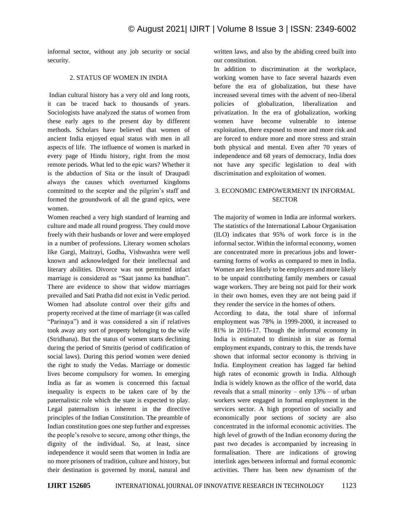informal sector, without any job security or social security.

#### 2. STATUS OF WOMEN IN INDIA

Indian cultural history has a very old and long roots, it can be traced back to thousands of years. Sociologists have analyzed the status of women from these early ages to the present day by different methods. Scholars have believed that women of ancient India enjoyed equal status with men in all aspects of life. The influence of women is marked in every page of Hindu history, right from the most remote periods. What led to the epic wars? Whether it is the abduction of Sita or the insult of Draupadi always the causes which overturned kingdoms committed to the scepter and the pilgrim's staff and formed the groundwork of all the grand epics, were women.

Women reached a very high standard of learning and culture and made all round progress. They could move freely with their husbands or lover and were employed in a number of professions. Literary women scholars like Gargi, Maitrayi, Godha, Vishwashra were well known and acknowledged for their intellectual and literary abilities. Divorce was not permitted infact marriage is considered as "Saat janmo ka bandhan". There are evidence to show that widow marriages prevailed and Sati Pratha did not exist in Vedic period. Women had absolute control over their gifts and property received at the time of marriage (it was called "Parinaya") and it was considered a sin if relatives took away any sort of property belonging to the wife (Stridhana). But the status of women starts declining during the period of Smritis (period of codification of social laws). During this period women were denied the right to study the Vedas. Marriage or domestic lives become compulsory for women. In emerging India as far as women is concerned this factual inequality is expects to be taken care of by the paternalistic role which the state is expected to play. Legal paternalism is inherent in the directive principles of the Indian Constitution. The preamble of Indian constitution goes one step further and expresses the people's resolve to secure, among other things, the dignity of the individual. So, at least, since independence it would seem that women in India are no more prisoners of tradition, culture and history, but their destination is governed by moral, natural and

written laws, and also by the abiding creed built into our constitution.

In addition to discrimination at the workplace, working women have to face several hazards even before the era of globalization, but these have increased several times with the advent of neo-liberal policies of globalization, liberalization and privatization. In the era of globalization, working women have become vulnerable to intense exploitation, there exposed to more and more risk and are forced to endure more and more stress and strain both physical and mental. Even after 70 years of independence and 68 years of democracy, India does not have any specific legislation to deal with discrimination and exploitation of women.

## 3. ECONOMIC EMPOWERMENT IN INFORMAL **SECTOR**

The majority of women in India are informal workers. The statistics of the International Labour Organisation (ILO) indicates that 95% of work force is in the informal sector. Within the informal economy, women are concentrated more in precarious jobs and lowerearning forms of works as compared to men in India. Women are less likely to be employers and more likely to be unpaid contributing family members or casual wage workers. They are being not paid for their work in their own homes, even they are not being paid if they render the service in the homes of others.

According to data, the total share of informal employment was 78% in 1999-2000, it increased to 81% in 2016-17. Though the informal economy in India is estimated to diminish in size as formal employment expands, contrary to this, the trends have shown that informal sector economy is thriving in India. Employment creation has lagged far behind high rates of economic growth in India. Although India is widely known as the office of the world, data reveals that a small minority – only  $13\%$  – of urban workers were engaged in formal employment in the services sector. A high proportion of socially and economically poor sections of society are also concentrated in the informal economic activities. The high level of growth of the Indian economy during the past two decades is accompanied by increasing in formalisation. There are indications of growing interlink ages between informal and formal economic activities. There has been new dynamism of the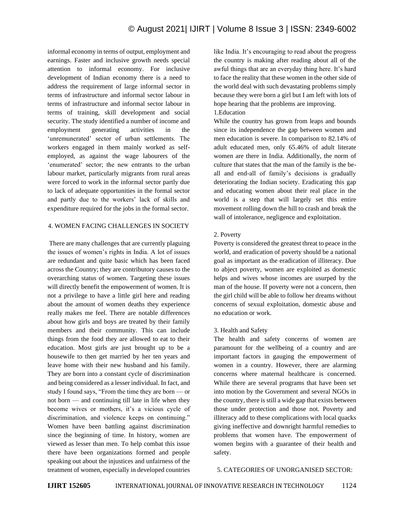informal economy in terms of output, employment and earnings. Faster and inclusive growth needs special attention to informal economy. For inclusive development of Indian economy there is a need to address the requirement of large informal sector in terms of infrastructure and informal sector labour in terms of infrastructure and informal sector labour in terms of training, skill development and social security. The study identified a number of income and employment generating activities in the 'unremunerated' sector of urban settlements. The workers engaged in them mainly worked as selfemployed, as against the wage labourers of the 'enumerated' sector; the new entrants to the urban labour market, particularly migrants from rural areas were forced to work in the informal sector partly due to lack of adequate opportunities in the formal sector and partly due to the workers' lack of skills and expenditure required for the jobs in the formal sector.

## 4. WOMEN FACING CHALLENGES IN SOCIETY

There are many challenges that are currently plaguing the issues of women's rights in India. A lot of issues are redundant and quite basic which has been faced across the Country; they are contributory causes to the overarching status of women. Targeting these issues will directly benefit the empowerment of women. It is not a privilege to have a little girl here and reading about the amount of women deaths they experience really makes me feel. There are notable differences about how girls and boys are treated by their family members and their community. This can include things from the food they are allowed to eat to their education. Most girls are just brought up to be a housewife to then get married by her ten years and leave home with their new husband and his family. They are born into a constant cycle of discrimination and being considered as a lesser individual. In fact, and study I found says, "From the time they are born — or not born — and continuing till late in life when they become wives or mothers, it's a vicious cycle of discrimination, and violence keeps on continuing." Women have been battling against discrimination since the beginning of time. In history, women are viewed as lesser than men. To help combat this issue there have been organizations formed and people speaking out about the injustices and unfairness of the treatment of women, especially in developed countries like India. It's encouraging to read about the progress the country is making after reading about all of the awful things that are an everyday thing here. It's hard to face the reality that these women in the other side of the world deal with such devastating problems simply because they were born a girl but I am left with lots of hope hearing that the problems are improving.

## 1.Education

While the country has grown from leaps and bounds since its independence the gap between women and men education is severe. In comparison to 82.14% of adult educated men, only 65.46% of adult literate women are there in India. Additionally, the norm of culture that states that the man of the family is the beall and end-all of family's decisions is gradually deteriorating the Indian society. Eradicating this gap and educating women about their real place in the world is a step that will largely set this entire movement rolling down the hill to crash and break the wall of intolerance, negligence and exploitation.

## 2. Poverty

Poverty is considered the greatest threat to peace in the world, and eradication of poverty should be a national goal as important as the eradication of illiteracy. Due to abject poverty, women are exploited as domestic helps and wives whose incomes are usurped by the man of the house. If poverty were not a concern, then the girl child will be able to follow her dreams without concerns of sexual exploitation, domestic abuse and no education or work.

## 3. Health and Safety

The health and safety concerns of women are paramount for the wellbeing of a country and are important factors in gauging the empowerment of women in a country. However, there are alarming concerns where maternal healthcare is concerned. While there are several programs that have been set into motion by the Government and several NGOs in the country, there is still a wide gap that exists between those under protection and those not. Poverty and illiteracy add to these complications with local quacks giving ineffective and downright harmful remedies to problems that women have. The empowerment of women begins with a guarantee of their health and safety.

## 5. CATEGORIES OF UNORGANISED SECTOR: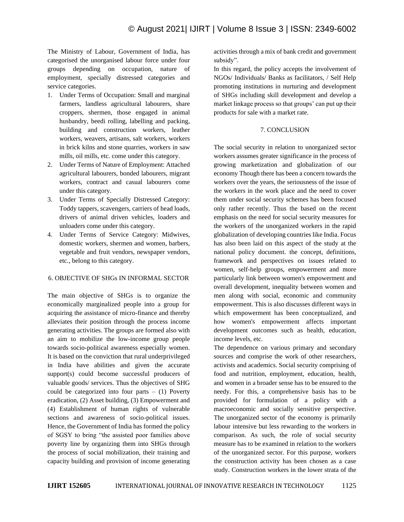The Ministry of Labour, Government of India, has categorised the unorganised labour force under four groups depending on occupation, nature of employment, specially distressed categories and service categories.

- 1. Under Terms of Occupation: Small and marginal farmers, landless agricultural labourers, share croppers, shermen, those engaged in animal husbandry, beedi rolling, labelling and packing, building and construction workers, leather workers, weavers, artisans, salt workers, workers in brick kilns and stone quarries, workers in saw mills, oil mills, etc. come under this category.
- 2. Under Terms of Nature of Employment: Attached agricultural labourers, bonded labourers, migrant workers, contract and casual labourers come under this category.
- 3. Under Terms of Specially Distressed Category: Toddy tappers, scavengers, carriers of head loads, drivers of animal driven vehicles, loaders and unloaders come under this category.
- 4. Under Terms of Service Category: Midwives, domestic workers, shermen and women, barbers, vegetable and fruit vendors, newspaper vendors, etc., belong to this category.

## 6. OBJECTIVE OF SHGs IN INFORMAL SECTOR

The main objective of SHGs is to organize the economically marginalized people into a group for acquiring the assistance of micro-finance and thereby alleviates their position through the process income generating activities. The groups are formed also with an aim to mobilize the low-income group people towards socio-political awareness especially women. It is based on the conviction that rural underprivileged in India have abilities and given the accurate support(s) could become successful producers of valuable goods/ services. Thus the objectives of SHG could be categorized into four parts  $-$  (1) Poverty eradication, (2) Asset building, (3) Empowerment and (4) Establishment of human rights of vulnerable sections and awareness of socio-political issues. Hence, the Government of India has formed the policy of SGSY to bring "the assisted poor families above poverty line by organizing them into SHGs through the process of social mobilization, their training and capacity building and provision of income generating

activities through a mix of bank credit and government subsidy".

In this regard, the policy accepts the involvement of NGOs/ Individuals/ Banks as facilitators, / Self Help promoting institutions in nurturing and development of SHGs including skill development and develop a market linkage process so that groups' can put up their products for sale with a market rate.

#### 7. CONCLUSION

The social security in relation to unorganized sector workers assumes greater significance in the process of growing marketization and globalization of our economy Though there has been a concern towards the workers over the years, the seriousness of the issue of the workers in the work place and the need to cover them under social security schemes has been focused only rather recently. Thus the based on the recent emphasis on the need for social security measures for the workers of the unorganized workers in the rapid globalization of developing countries like India. Focus has also been laid on this aspect of the study at the national policy document. the concept, definitions, framework and perspectives on issues related to women, self-help groups, empowerment and more particularly link between women's empowerment and overall development, inequality between women and men along with social, economic and community empowerment. This is also discusses different ways in which empowerment has been conceptualized, and how women's empowerment affects important development outcomes such as health, education, income levels, etc.

The dependence on various primary and secondary sources and comprise the work of other researchers, activists and academics. Social security comprising of food and nutrition, employment, education, health, and women in a broader sense has to be ensured to the needy. For this, a comprehensive basis has to be provided for formulation of a policy with a macroeconomic and socially sensitive perspective. The unorganized sector of the economy is primarily labour intensive but less rewarding to the workers in comparison. As such, the role of social security measure has to be examined in relation to the workers of the unorganized sector. For this purpose, workers the construction activity has been chosen as a case study. Construction workers in the lower strata of the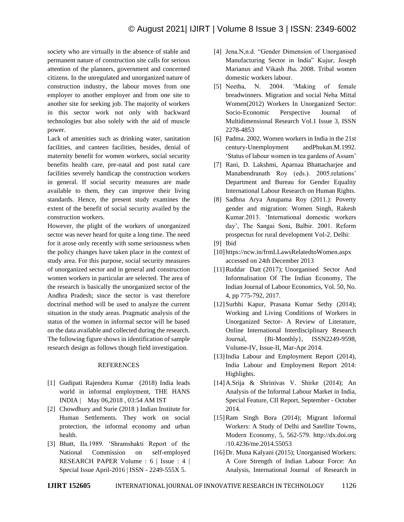society who are virtually in the absence of stable and permanent nature of construction site calls for serious attention of the planners, government and concerned citizens. In the unregulated and unorganized nature of construction industry, the labour moves from one employer to another employer and from one site to another site for seeking job. The majority of workers in this sector work not only with backward technologies but also solely with the aid of muscle power.

Lack of amenities such as drinking water, sanitation facilities, and canteen facilities, besides, denial of maternity benefit for women workers, social security benefits health care, pre-natal and post natal care facilities severely handicap the construction workers in general. If social security measures are made available to them, they can improve their living standards. Hence, the present study examines the extent of the benefit of social security availed by the construction workers.

However, the plight of the workers of unorganized sector was never heard for quite a long time. The need for it arose only recently with some seriousness when the policy changes have taken place in the context of study area. For this purpose, social security measures of unorganized sector and in general and construction women workers in particular are selected. The area of the research is basically the unorganized sector of the Andhra Pradesh; since the sector is vast therefore doctrinal method will be used to analyze the current situation in the study areas. Pragmatic analysis of the status of the women in informal sector will be based on the data available and collected during the research. The following figure shows in identification of sample research design as follows though field investigation.

## **REFERENCES**

- [1] Gudipati Rajendera Kumar (2018) India leads world in informal employment, THE HANS INDIA | May 06,2018 , 03:54 AM IST
- [2] Chowdhury and Surie (2018 ) Indian Institute for Human Settlements. They work on social protection, the informal economy and urban health.
- [3] Bhatt, Ila.1989. 'Shramshakti Report of the National Commission on self-employed RESEARCH PAPER Volume : 6 | Issue : 4 | Special Issue April-2016 | ISSN - 2249-555X 5.
- [4] Jena.N,n.d. "Gender Dimension of Unorganised Manufacturing Sector in India" Kujur, Joseph Marianus and Vikash Jha. 2008. Tribal women domestic workers labour.
- [5] Neetha, N. 2004. 'Making of female breadwinners. Migration and social Neha Mittal Women(2012) Workers In Unorganized Sector: Socio-Economic Perspective Journal of Multidimensional Research Vol.1 Issue 3, ISSN 2278-4853
- [6] Padma. 2002. Women workers in India in the 21st century-Unemployment andPhukan.M.1992. 'Status of labour women in tea gardens of Assam'
- [7] Rani, D. Lakshmi, Aparnaa Bhattacharjee and Manabendranath Roy (eds.). 2005.relations' Department and Bureau for Gender Equality International Labour Research on Human Rights.
- [8] Sadhna Arya Anupama Roy (2011.): Poverty gender and migration: Women Singh, Rakesh Kumar.2013. 'International domestic workers day', The Sangai Soni, Balbir. 2001. Reform prospectus for rural development Vol-2. Delhi:
- [9] Ibid
- [10] https://ncw.in/frmLLawsRelatedtoWomen.aspx accessed on 24th December 2013
- [11]Ruddar Datt (2017); Unorganised Sector And Informalisation Of The Indian Economy, The Indian Journal of Labour Economics, Vol. 50, No. 4, pp 775-792, 2017.
- [12] Surbhi Kapur, Prasana Kumar Sethy (2014); Working and Living Conditions of Workers in Unorganized Sector- A Review of Literature, Online International Interdisciplinary Research Journal, {Bi-Monthly}, ISSN2249-9598, Volume-IV, Issue-II, Mar-Apr 2014.
- [13]India Labour and Employment Report (2014), India Labour and Employment Report 2014: Highlights.
- [14]A.Srija & Shrinivas V. Shirke (2014); An Analysis of the Informal Labour Market in India, Special Feature, CII Report, September - October 2014.
- [15]Ram Singh Bora (2014); Migrant Informal Workers: A Study of Delhi and Satellite Towns, Modern Economy, 5, 562-579. http://dx.doi.org /10.4236/me.2014.55053
- [16] Dr. Muna Kalyani (2015); Unorganised Workers: A Core Strength of Indian Labour Force: An Analysis, International Journal of Research in